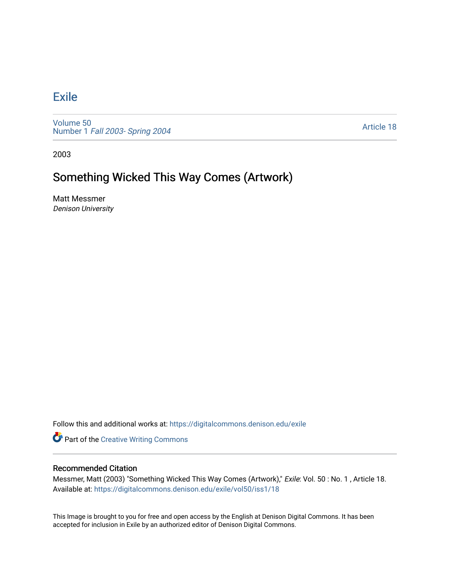## **[Exile](https://digitalcommons.denison.edu/exile)**

[Volume 50](https://digitalcommons.denison.edu/exile/vol50) Number 1 [Fall 2003- Spring 2004](https://digitalcommons.denison.edu/exile/vol50/iss1) 

[Article 18](https://digitalcommons.denison.edu/exile/vol50/iss1/18) 

2003

## Something Wicked This Way Comes (Artwork)

Matt Messmer Denison University

Follow this and additional works at: [https://digitalcommons.denison.edu/exile](https://digitalcommons.denison.edu/exile?utm_source=digitalcommons.denison.edu%2Fexile%2Fvol50%2Fiss1%2F18&utm_medium=PDF&utm_campaign=PDFCoverPages) 

**Part of the Creative Writing Commons** 

## Recommended Citation

Messmer, Matt (2003) "Something Wicked This Way Comes (Artwork)," Exile: Vol. 50 : No. 1 , Article 18. Available at: [https://digitalcommons.denison.edu/exile/vol50/iss1/18](https://digitalcommons.denison.edu/exile/vol50/iss1/18?utm_source=digitalcommons.denison.edu%2Fexile%2Fvol50%2Fiss1%2F18&utm_medium=PDF&utm_campaign=PDFCoverPages)

This Image is brought to you for free and open access by the English at Denison Digital Commons. It has been accepted for inclusion in Exile by an authorized editor of Denison Digital Commons.